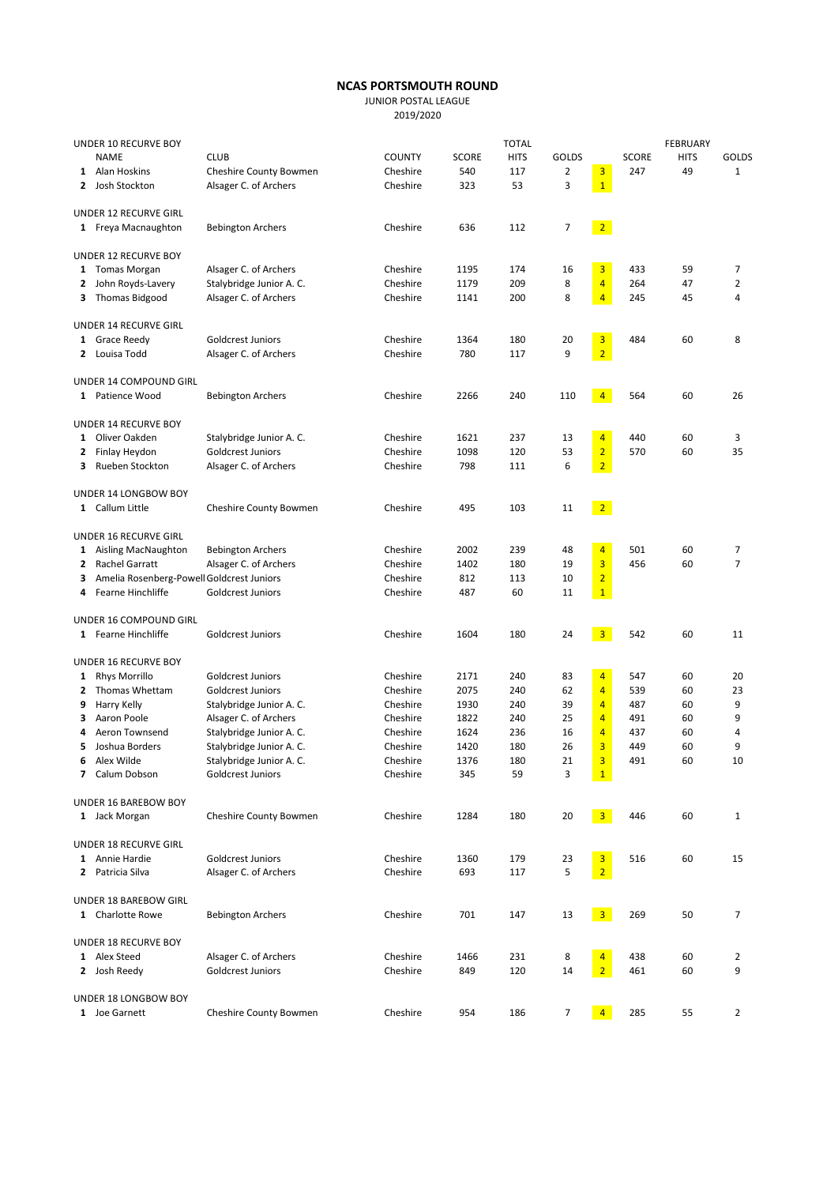## NCAS PORTSMOUTH ROUND

JUNIOR POSTAL LEAGUE

2019/2020

| UNDER 10 RECURVE BOY |                                           |                                            | <b>TOTAL</b>         |              |             |              |                                           | <b>FEBRUARY</b> |             |                |  |
|----------------------|-------------------------------------------|--------------------------------------------|----------------------|--------------|-------------|--------------|-------------------------------------------|-----------------|-------------|----------------|--|
|                      | <b>NAME</b>                               | <b>CLUB</b>                                | <b>COUNTY</b>        | <b>SCORE</b> | <b>HITS</b> | <b>GOLDS</b> |                                           | <b>SCORE</b>    | <b>HITS</b> | GOLDS          |  |
|                      | 1 Alan Hoskins                            | Cheshire County Bowmen                     | Cheshire             | 540          | 117         | 2            | $\overline{\mathbf{3}}$                   | 247             | 49          | $\mathbf{1}$   |  |
|                      | 2 Josh Stockton                           | Alsager C. of Archers                      | Cheshire             | 323          | 53          | 3            | $\mathbf{1}$                              |                 |             |                |  |
|                      | UNDER 12 RECURVE GIRL                     |                                            |                      |              |             |              |                                           |                 |             |                |  |
|                      | 1 Freya Macnaughton                       | <b>Bebington Archers</b>                   | Cheshire             | 636          | 112         | 7            | 2                                         |                 |             |                |  |
|                      | UNDER 12 RECURVE BOY                      |                                            |                      |              |             |              |                                           |                 |             |                |  |
|                      | 1 Tomas Morgan                            | Alsager C. of Archers                      | Cheshire             | 1195         | 174         | 16           | $\overline{\mathbf{3}}$                   | 433             | 59          | 7              |  |
|                      | 2 John Royds-Lavery                       | Stalybridge Junior A. C.                   | Cheshire             | 1179         | 209         | 8            | $\overline{4}$                            | 264             | 47          | $\overline{2}$ |  |
|                      | 3 Thomas Bidgood                          | Alsager C. of Archers                      | Cheshire             | 1141         | 200         | 8            | $\overline{4}$                            | 245             | 45          | 4              |  |
|                      | UNDER 14 RECURVE GIRL                     |                                            |                      |              |             |              |                                           |                 |             |                |  |
|                      | 1 Grace Reedy                             | <b>Goldcrest Juniors</b>                   | Cheshire             | 1364         | 180         | 20           | $\overline{\mathbf{3}}$                   | 484             | 60          | 8              |  |
|                      | 2 Louisa Todd                             | Alsager C. of Archers                      | Cheshire             | 780          | 117         | 9            | $\overline{2}$                            |                 |             |                |  |
|                      | UNDER 14 COMPOUND GIRL                    |                                            |                      |              |             |              |                                           |                 |             |                |  |
|                      |                                           |                                            | Cheshire             | 2266         | 240         |              | 4 <sub>1</sub>                            | 564             | 60          | 26             |  |
|                      | 1 Patience Wood                           | <b>Bebington Archers</b>                   |                      |              |             | 110          |                                           |                 |             |                |  |
|                      | UNDER 14 RECURVE BOY                      |                                            |                      |              |             |              |                                           |                 |             |                |  |
|                      | 1 Oliver Oakden                           | Stalybridge Junior A. C.                   | Cheshire             | 1621         | 237         | 13           | $\overline{4}$                            | 440             | 60          | 3              |  |
| 2                    | Finlay Heydon                             | <b>Goldcrest Juniors</b>                   | Cheshire             | 1098         | 120         | 53           | $\overline{2}$                            | 570             | 60          | 35             |  |
| 3.                   | Rueben Stockton                           | Alsager C. of Archers                      | Cheshire             | 798          | 111         | 6            | $\overline{2}$                            |                 |             |                |  |
|                      | <b>UNDER 14 LONGBOW BOY</b>               |                                            |                      |              |             |              |                                           |                 |             |                |  |
|                      | 1 Callum Little                           | Cheshire County Bowmen                     | Cheshire             | 495          | 103         | 11           | $\sqrt{2}$                                |                 |             |                |  |
|                      | <b>UNDER 16 RECURVE GIRL</b>              |                                            |                      |              |             |              |                                           |                 |             |                |  |
|                      | 1 Aisling MacNaughton                     | <b>Bebington Archers</b>                   | Cheshire             | 2002         | 239         | 48           | $\overline{4}$                            | 501             | 60          | 7              |  |
| 2                    | Rachel Garratt                            | Alsager C. of Archers                      | Cheshire             | 1402         | 180         | 19           | $\overline{\mathbf{3}}$                   | 456             | 60          | $\overline{7}$ |  |
| 3                    | Amelia Rosenberg-Powell Goldcrest Juniors |                                            | Cheshire             | 812          | 113         | 10           | $\overline{2}$                            |                 |             |                |  |
| 4                    | Fearne Hinchliffe                         | Goldcrest Juniors                          | Cheshire             | 487          | 60          | 11           | $\mathbf{1}$                              |                 |             |                |  |
|                      | UNDER 16 COMPOUND GIRL                    |                                            |                      |              |             |              |                                           |                 |             |                |  |
|                      | 1 Fearne Hinchliffe                       | Goldcrest Juniors                          | Cheshire             | 1604         | 180         | 24           | 3 <sup>7</sup>                            | 542             | 60          | 11             |  |
|                      | UNDER 16 RECURVE BOY                      |                                            |                      |              |             |              |                                           |                 |             |                |  |
|                      | 1 Rhys Morrillo                           | Goldcrest Juniors                          | Cheshire             | 2171         | 240         | 83           | $\overline{4}$                            | 547             | 60          | 20             |  |
| 2                    | Thomas Whettam                            | Goldcrest Juniors                          | Cheshire             | 2075         | 240         | 62           | $\overline{4}$                            | 539             | 60          | 23             |  |
| 9                    | Harry Kelly                               | Stalybridge Junior A. C.                   | Cheshire             | 1930         | 240         | 39           | $\overline{4}$                            | 487             | 60          | 9              |  |
| з                    | Aaron Poole                               | Alsager C. of Archers                      | Cheshire             | 1822         | 240         | 25           | $\overline{4}$                            | 491             | 60          | 9              |  |
| 4                    | Aeron Townsend                            | Stalybridge Junior A. C.                   | Cheshire             | 1624         | 236         | 16           | $\overline{4}$                            | 437             | 60          | 4              |  |
| 5                    | Joshua Borders                            | Stalybridge Junior A. C.                   | Cheshire             | 1420         | 180         | 26           | 3                                         | 449             | 60          | 9              |  |
| 6                    | Alex Wilde                                | Stalybridge Junior A. C.                   | Cheshire             | 1376         | 180         | 21           | $\overline{3}$                            | 491             | 60          | 10             |  |
|                      | 7 Calum Dobson                            | Goldcrest Juniors                          | Cheshire             | 345          | 59          | 3            | $\vert 1 \vert$                           |                 |             |                |  |
|                      | UNDER 16 BAREBOW BOY                      |                                            |                      |              |             |              |                                           |                 |             |                |  |
|                      | 1 Jack Morgan                             | Cheshire County Bowmen                     | Cheshire             | 1284         | 180         | 20           | 3 <sup>7</sup>                            | 446             | 60          | 1              |  |
|                      | UNDER 18 RECURVE GIRL                     |                                            |                      |              |             |              |                                           |                 |             |                |  |
|                      |                                           |                                            |                      |              |             |              |                                           |                 |             |                |  |
|                      | 1 Annie Hardie<br>2 Patricia Silva        | Goldcrest Juniors<br>Alsager C. of Archers | Cheshire<br>Cheshire | 1360<br>693  | 179<br>117  | 23<br>5      | $\overline{\mathbf{3}}$<br>$\overline{2}$ | 516             | 60          | 15             |  |
|                      |                                           |                                            |                      |              |             |              |                                           |                 |             |                |  |
|                      | UNDER 18 BAREBOW GIRL                     |                                            |                      |              |             |              |                                           |                 |             |                |  |
|                      | 1 Charlotte Rowe                          | <b>Bebington Archers</b>                   | Cheshire             | 701          | 147         | 13           | $\overline{\mathbf{3}}$                   | 269             | 50          | 7              |  |
|                      | UNDER 18 RECURVE BOY                      |                                            |                      |              |             |              |                                           |                 |             |                |  |
|                      | 1 Alex Steed                              | Alsager C. of Archers                      | Cheshire             | 1466         | 231         | 8            | $\overline{4}$                            | 438             | 60          | 2              |  |
|                      | 2 Josh Reedy                              | Goldcrest Juniors                          | Cheshire             | 849          | 120         | 14           | $\overline{2}$                            | 461             | 60          | 9              |  |
|                      | UNDER 18 LONGBOW BOY                      |                                            |                      |              |             |              |                                           |                 |             |                |  |
|                      | 1 Joe Garnett                             | Cheshire County Bowmen                     | Cheshire             | 954          | 186         | 7            | $\overline{4}$                            | 285             | 55          | $\mathbf{2}$   |  |